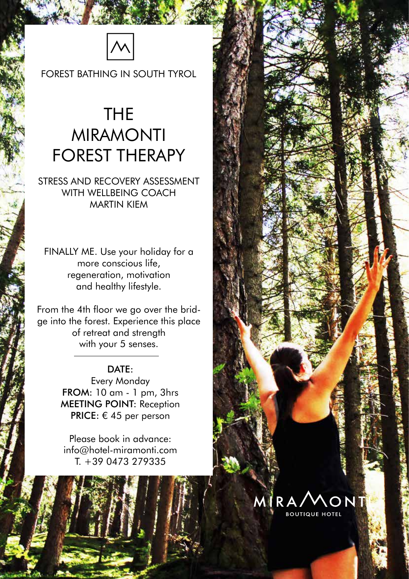

FOREST BATHING IN SOUTH TYROL

### THE MIRAMONTI FOREST THERAPY

STRESS AND RECOVERY ASSESSMENT WITH WELLBEING COACH MARTIN KIEM

FINALLY ME. Use your holiday for a more conscious life, regeneration, motivation and healthy lifestyle.

From the 4th floor we go over the bridge into the forest. Experience this place of retreat and strength with your 5 senses.

#### DATE:

Every Monday FROM: 10 am - 1 pm, 3hrs MEETING POINT: Reception **PRICE:** € 45 per person

Please book in advance: info@hotel-miramonti.com T. +39 0473 279335

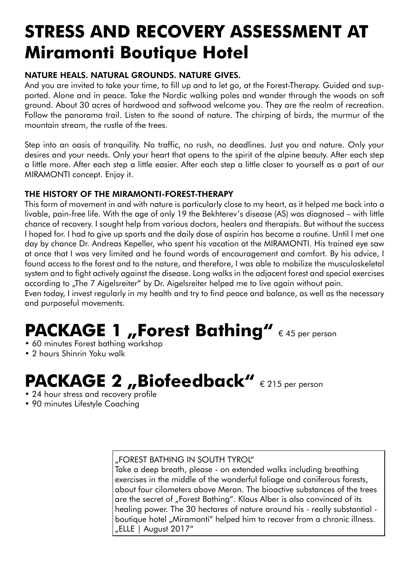## **STRESS AND RECOVERY ASSESSMENT AT Miramonti Boutique Hotel**

#### NATURE HEALS. NATURAL GROUNDS. NATURE GIVES.

And you are invited to take your time, to fill up and to let go, at the Forest-Therapy. Guided and supported. Alone and in peace. Take the Nordic walking poles and wander through the woods on soft ground. About 30 acres of hardwood and softwood welcome you. They are the realm of recreation. Follow the panorama trail. Listen to the sound of nature. The chirping of birds, the murmur of the mountain stream, the rustle of the trees.

Step into an oasis of tranquility. No traffic, no rush, no deadlines. Just you and nature. Only your desires and your needs. Only your heart that opens to the spirit of the alpine beauty. After each step a little more. After each step a little easier. After each step a little closer to yourself as a part of our MIRAMONTI concept. Enjoy it.

#### THE HISTORY OF THE MIRAMONTI-FOREST-THERAPY

This form of movement in and with nature is particularly close to my heart, as it helped me back into a livable, pain-free life. With the age of only 19 the Bekhterev's disease (AS) was diagnosed – with little chance of recovery. I sought help from various doctors, healers and therapists. But without the success I hoped for. I had to give up sports and the daily dose of aspirin has become a routine. Until I met one day by chance Dr. Andreas Kepeller, who spent his vacation at the MIRAMONTI. His trained eye saw at once that I was very limited and he found words of encouragement and comfort. By his advice, I found access to the forest and to the nature, and therefore, I was able to mobilize the musculoskeletal system and to fight actively against the disease. Long walks in the adjacent forest and special exercises according to "The 7 Aigelsreiter" by Dr. Aigelsreiter helped me to live again without pain.

Even today, I invest regularly in my health and try to find peace and balance, as well as the necessary and purposeful movements.

# **PACKAGE 1 "Forest Bathing"** € 45 per person

- 60 minutes Forest bathing workshop
- 2 hours Shinrin Yoku walk

## PACKAGE 2 <sub>*II*</sub>Biofeedback" € 215 per person</sub>

- 24 hour stress and recovery profile
- 90 minutes Lifestyle Coaching

#### "FOREST BATHING IN SOUTH TYROL"

Take a deep breath, please - on extended walks including breathing exercises in the middle of the wonderful foliage and coniferous forests, about four cilometers above Meran. The bioactive substances of the trees are the secret of "Forest Bathing". Klaus Alber is also convinced of its healing power. The 30 hectares of nature around his - really substantial boutique hotel "Miramonti" helped him to recover from a chronic illness. "ELLE | August 2017"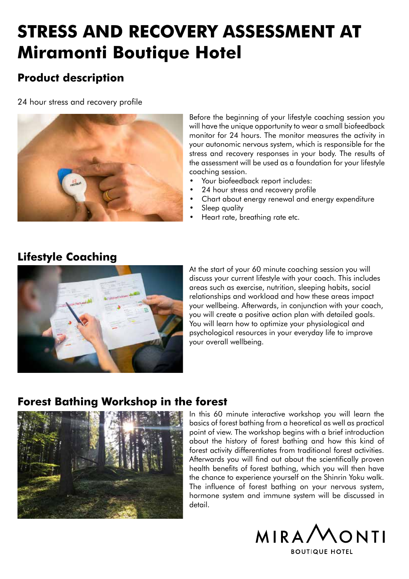## **STRESS AND RECOVERY ASSESSMENT AT Miramonti Boutique Hotel**

### **Product description**

24 hour stress and recovery profile



Before the beginning of your lifestyle coaching session you will have the unique opportunity to wear a small biofeedback monitor for 24 hours. The monitor measures the activity in your autonomic nervous system, which is responsible for the stress and recovery responses in your body. The results of the assessment will be used as a foundation for your lifestyle coaching session.

- Your biofeedback report includes:
- 24 hour stress and recovery profile
- Chart about energy renewal and energy expenditure
- Sleep quality
- Heart rate, breathing rate etc.



At the start of your 60 minute coaching session you will discuss your current lifestyle with your coach. This includes areas such as exercise, nutrition, sleeping habits, social relationships and workload and how these areas impact your wellbeing. Afterwards, in conjunction with your coach, you will create a positive action plan with detailed goals. You will learn how to optimize your physiological and psychological resources in your everyday life to improve your overall wellbeing.

### **Forest Bathing Workshop in the forest**



In this 60 minute interactive workshop you will learn the basics of forest bathing from a heoretical as well as practical point of view. The workshop begins with a brief introduction about the history of forest bathing and how this kind of forest activity differentiates from traditional forest activities. Afterwards you will find out about the scientifically proven health benefits of forest bathing, which you will then have the chance to experience yourself on the Shinrin Yoku walk. The influence of forest bathing on your nervous system, hormone system and immune system will be discussed in detail.



**BOUTIQUE HOTEL** 

### **Lifestyle Coaching**